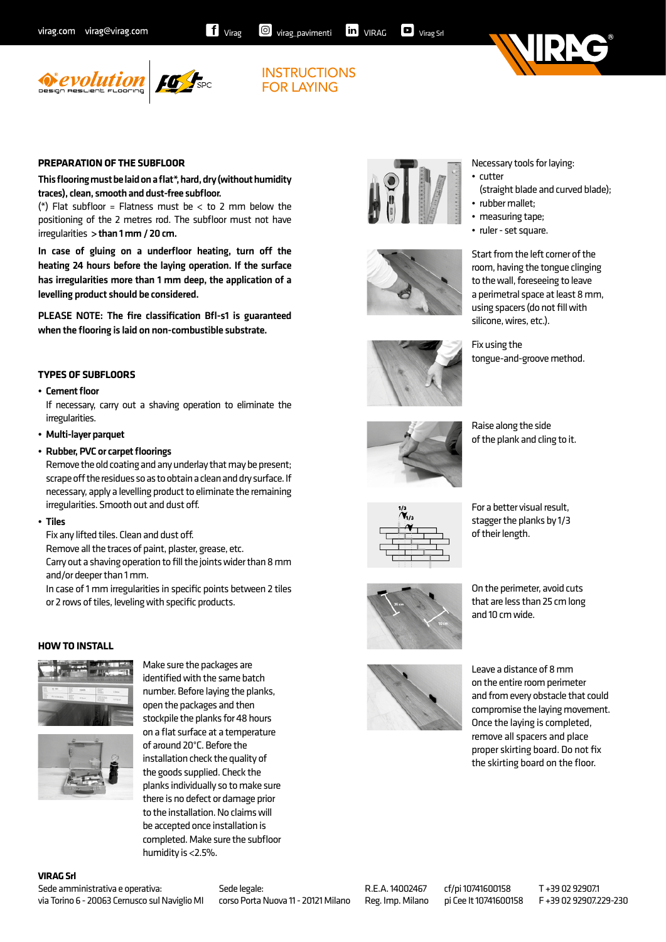

**INSTRUCTIONS** FOR LAYING



#### **PREPARATION OF THE SUBFLOOR**

This flooring must be laid on a flat\*, hard, dry (without humidity traces), clean, smooth and dust-free subfloor.

(\*) Flat subfloor = Flatness must be  $<$  to 2 mm below the positioning of the 2 metres rod. The subfloor must not have irregularities > than 1 mm / 20 cm.

In case of gluing on a underfloor heating, turn off the heating 24 hours before the laying operation. If the surface has irregularities more than 1 mm deep, the application of a levelling product should be considered.

PLEASE NOTE: The fire classification Bfl-s1 is guaranteed when the flooring is laid on non-combustible substrate.

# **TYPES OF SUBFLOORS**

#### • Cement floor

 If necessary, carry out a shaving operation to eliminate the irregularities.

- Multi-layer parquet
- Rubber, PVC or carpet floorings

 Remove the old coating and any underlay that may be present; scrape off the residues so as to obtain a clean and dry surface. If necessary, apply a levelling product to eliminate the remaining irregularities. Smooth out and dust off.

• Tiles

Fix any lifted tiles. Clean and dust off.

Remove all the traces of paint, plaster, grease, etc.

 Carry out a shaving operation to fill the joints wider than 8 mm and/or deeper than 1 mm.

 In case of 1 mm irregularities in specific points between 2 tiles or 2 rows of tiles, leveling with specific products.

# **HOW TO INSTALL**





Make sure the packages are identified with the same batch number. Before laying the planks, open the packages and then stockpile the planks for 48 hours on a flat surface at a temperature of around 20°C. Before the installation check the quality of the goods supplied. Check the planks individually so to make sure there is no defect or damage prior to the installation. No claims will be accepted once installation is completed. Make sure the subfloor humidity is <2.5%.





Necessary tools for laying:

- cutter
	- (straight blade and curved blade);
	- rubber mallet;
	- measuring tape;
	- ruler set square.



Start from the left corner of the room, having the tongue clinging to the wall, foreseeing to leave a perimetral space at least 8 mm, using spacers (do not fill with silicone, wires, etc.).





Raise along the side of the plank and cling to it.



For a better visual result, stagger the planks by 1/3 of their length.



On the perimeter, avoid cuts that are less than 25 cm long and 10 cm wide.



Leave a distance of 8 mm on the entire room perimeter and from every obstacle that could compromise the laying movement. Once the laying is completed, remove all spacers and place proper skirting board. Do not fix the skirting board on the floor.

**VIRAG Srl**

Sede amministrativa e operativa: via Torino 6 - 20063 Cernusco sul Naviglio MI

Sede legale: corso Porta Nuova 11 - 20121 Milano R.E.A. 14002467 Reg. Imp. Milano cf/pi 10741600158 pi Cee It 10741600158